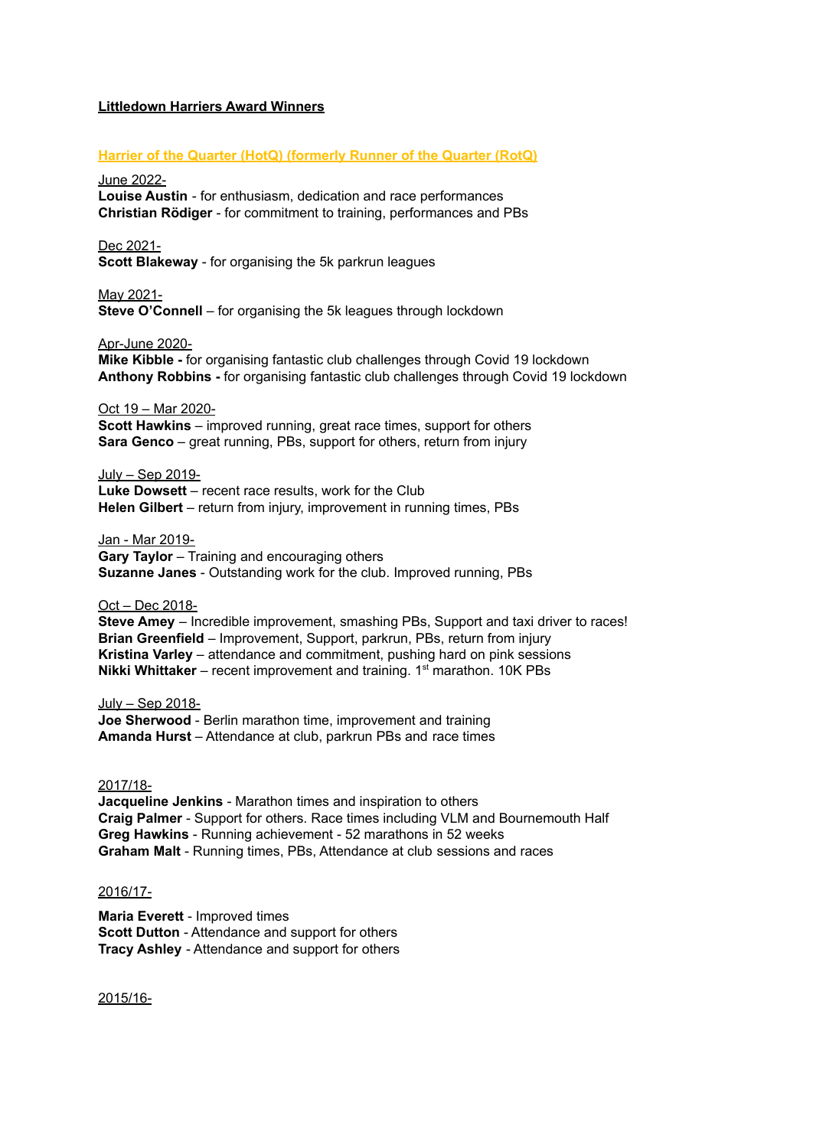# **Littledown Harriers Award Winners**

#### **Harrier of the Quarter (HotQ) (formerly Runner of the Quarter (RotQ)**

### June 2022-

**Louise Austin** - for enthusiasm, dedication and race performances **Christian Rödiger** - for commitment to training, performances and PBs

### Dec 2021-

**Scott Blakeway** - for organising the 5k parkrun leagues

# May 2021-

**Steve O'Connell** – for organising the 5k leagues through lockdown

#### Apr-June 2020-

**Mike Kibble -** for organising fantastic club challenges through Covid 19 lockdown **Anthony Robbins -** for organising fantastic club challenges through Covid 19 lockdown

#### Oct 19 – Mar 2020-

**Scott Hawkins** – improved running, great race times, support for others **Sara Genco** – great running, PBs, support for others, return from injury

### July – Sep 2019-

**Luke Dowsett** – recent race results, work for the Club **Helen Gilbert** – return from injury, improvement in running times, PBs

Jan - Mar 2019-

**Gary Taylor** – Training and encouraging others **Suzanne Janes** - Outstanding work for the club. Improved running, PBs

# Oct – Dec 2018-

**Steve Amey** – Incredible improvement, smashing PBs, Support and taxi driver to races! **Brian Greenfield** – Improvement, Support, parkrun, PBs, return from injury **Kristina Varley** – attendance and commitment, pushing hard on pink sessions **Nikki Whittaker** – recent improvement and training. 1<sup>st</sup> marathon. 10K PBs

#### July – Sep 2018-

**Joe Sherwood** - Berlin marathon time, improvement and training **Amanda Hurst** – Attendance at club, parkrun PBs and race times

# 2017/18-

**Jacqueline Jenkins** - Marathon times and inspiration to others **Craig Palmer** - Support for others. Race times including VLM and Bournemouth Half **Greg Hawkins** - Running achievement - 52 marathons in 52 weeks **Graham Malt** - Running times, PBs, Attendance at club sessions and races

#### 2016/17-

**Maria Everett** - Improved times **Scott Dutton** - Attendance and support for others **Tracy Ashley** - Attendance and support for others

2015/16-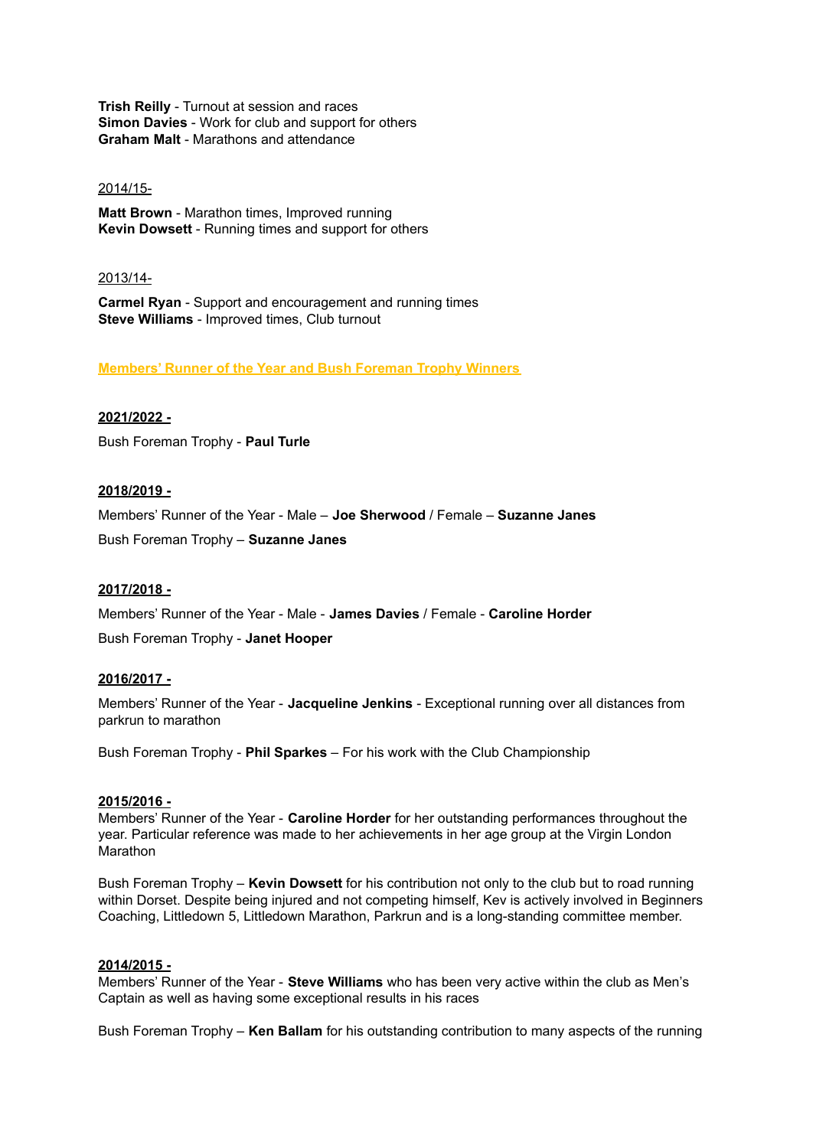**Trish Reilly** - Turnout at session and races **Simon Davies** - Work for club and support for others **Graham Malt** - Marathons and attendance

### 2014/15-

**Matt Brown** - Marathon times, Improved running **Kevin Dowsett** - Running times and support for others

#### 2013/14-

**Carmel Ryan** - Support and encouragement and running times **Steve Williams** - Improved times, Club turnout

**Members' Runner of the Year and Bush Foreman Trophy Winners**

#### **2021/2022 -**

Bush Foreman Trophy - **Paul Turle**

### **2018/2019 -**

Members' Runner of the Year - Male – **Joe Sherwood** / Female – **Suzanne Janes** Bush Foreman Trophy – **Suzanne Janes**

# **2017/2018 -**

Members' Runner of the Year - Male - **James Davies** / Female - **Caroline Horder**

Bush Foreman Trophy - **Janet Hooper**

# **2016/2017 -**

Members' Runner of the Year - **Jacqueline Jenkins** - Exceptional running over all distances from parkrun to marathon

Bush Foreman Trophy - **Phil Sparkes** – For his work with the Club Championship

#### **2015/2016 -**

Members' Runner of the Year - **Caroline Horder** for her outstanding performances throughout the year. Particular reference was made to her achievements in her age group at the Virgin London Marathon

Bush Foreman Trophy – **Kevin Dowsett** for his contribution not only to the club but to road running within Dorset. Despite being injured and not competing himself, Kev is actively involved in Beginners Coaching, Littledown 5, Littledown Marathon, Parkrun and is a long-standing committee member.

### **2014/2015 -**

Members' Runner of the Year - **Steve Williams** who has been very active within the club as Men's Captain as well as having some exceptional results in his races

Bush Foreman Trophy – **Ken Ballam** for his outstanding contribution to many aspects of the running